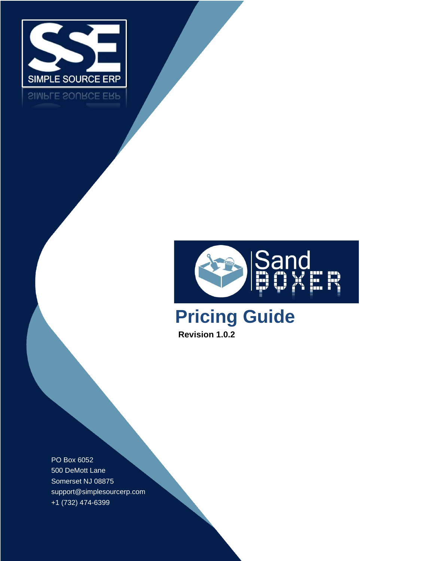



# **Pricing Guide Revision 1.0.2**

PO Box 6052 500 DeMott Lane Somerset NJ 08875 support@simplesourcerp.com +1 (732) 474-6399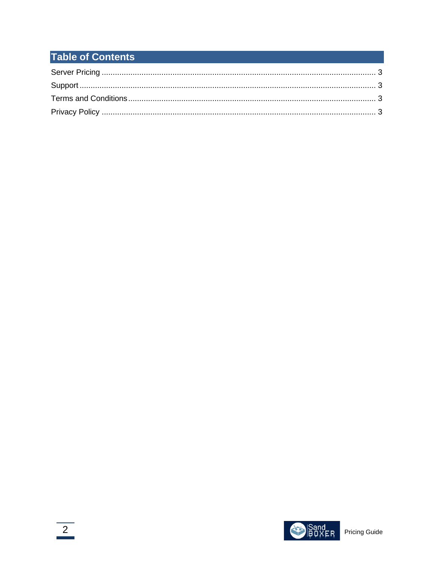# **Table of Contents**